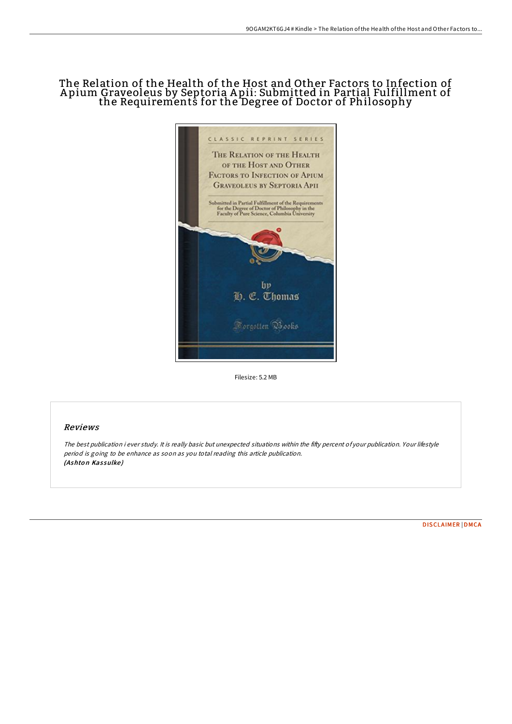## The Relation of the Health of the Host and Other Factors to Infection of A pium Graveoleus by Septoria A pii: Submitted in Partial Fulfillment of the Requirements for the Degree of Doctor of Philosophy



Filesize: 5.2 MB

## Reviews

The best publication i ever study. It is really basic but unexpected situations within the fifty percent of your publication. Your lifestyle period is going to be enhance as soon as you total reading this article publication. (Ashton Kassulke)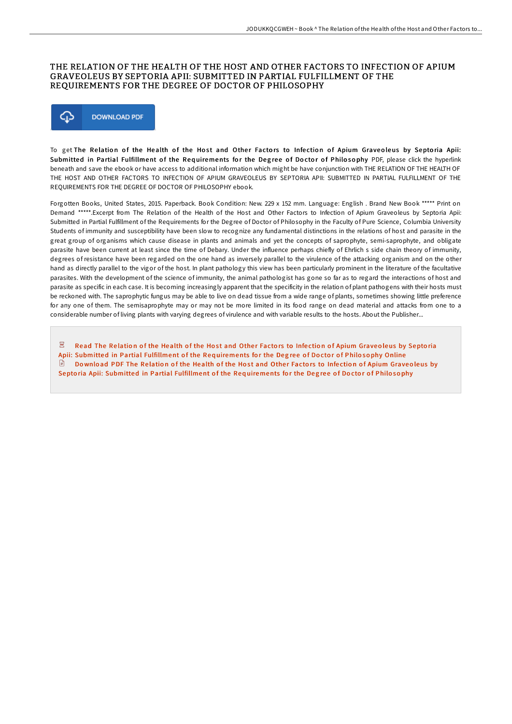## THE RELATION OF THE HEALTH OF THE HOST AND OTHER FACTORS TO INFECTION OF APIUM GRAVEOLEUS BY SEPTORIA APII: SUBMITTED IN PARTIAL FULFILLMENT OF THE REQUIREMENTS FOR THE DEGREE OF DOCTOR OF PHILOSOPHY



To get The Relation of the Health of the Host and Other Factors to Infection of Apium Graveoleus by Septoria Apii: Submitted in Partial Fulfillment of the Requirements for the Degree of Doctor of Philosophy PDF, please click the hyperlink beneath and save the ebook or have access to additional information which might be have conjunction with THE RELATION OF THE HEALTH OF THE HOST AND OTHER FACTORS TO INFECTION OF APIUM GRAVEOLEUS BY SEPTORIA APII: SUBMITTED IN PARTIAL FULFILLMENT OF THE REQUIREMENTS FOR THE DEGREE OF DOCTOR OF PHILOSOPHY ebook.

Forgotten Books, United States, 2015. Paperback. Book Condition: New. 229 x 152 mm. Language: English . Brand New Book \*\*\*\*\* Print on Demand \*\*\*\*\*.Excerpt from The Relation of the Health of the Host and Other Factors to Infection of Apium Graveoleus by Septoria Apii: Submitted in Partial Fulfillment of the Requirements for the Degree of Doctor of Philosophy in the Faculty of Pure Science, Columbia University Students of immunity and susceptibility have been slow to recognize any fundamental distinctions in the relations of host and parasite in the great group of organisms which cause disease in plants and animals and yet the concepts of saprophyte, semi-saprophyte, and obligate parasite have been current at least since the time of Debary. Under the influence perhaps chiefly of Ehrlich s side chain theory of immunity, degrees of resistance have been regarded on the one hand as inversely parallel to the virulence of the attacking organism and on the other hand as directly parallel to the vigor of the host. In plant pathology this view has been particularly prominent in the literature of the facultative parasites. With the development of the science of immunity, the animal pathologist has gone so far as to regard the interactions of host and parasite as specific in each case. It is becoming increasingly apparent that the specificity in the relation of plant pathogens with their hosts must be reckoned with. The saprophytic fungus may be able to live on dead tissue from a wide range of plants, sometimes showing little preference for any one of them. The semisaprophyte may or may not be more limited in its food range on dead material and attacks from one to a considerable number of living plants with varying degrees of virulence and with variable results to the hosts. About the Publisher...

Read The Relation of the Health of the Host and Other Factors to Infection of Apium Graveoleus by Septoria Apii: Submitted in Partial [Fulfillment](http://almighty24.tech/the-relation-of-the-health-of-the-host-and-other.html) of the Requirements for the Degree of Doctor of Philosophy Online  $\Box$ Download PDF The Relation of the Health of the Host and Other Factors to Infection of Apium Graveoleus by Septoria Apii: Submitted in Partial [Fulfillment](http://almighty24.tech/the-relation-of-the-health-of-the-host-and-other.html) of the Requirements for the Degree of Doctor of Philosophy